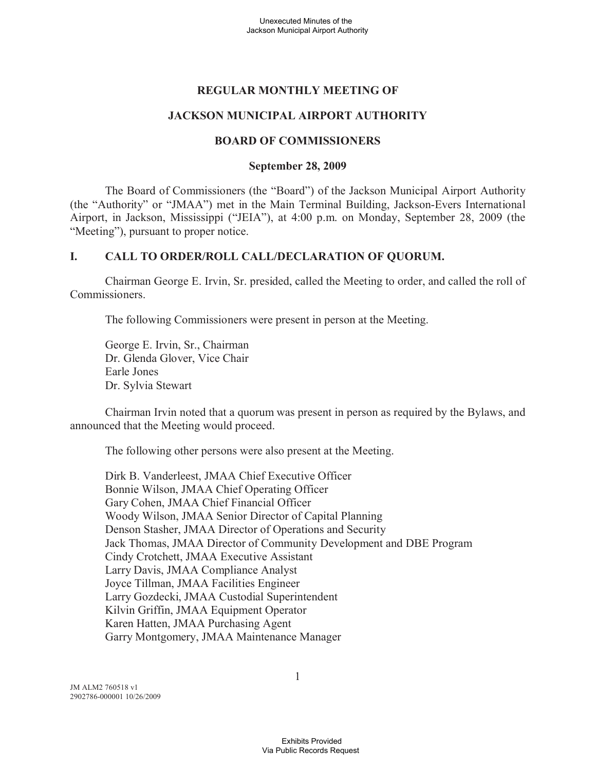## **REGULAR MONTHLY MEETING OF**

# **JACKSON MUNICIPAL AIRPORT AUTHORITY**

## **BOARD OF COMMISSIONERS**

### **September 28, 2009**

The Board of Commissioners (the "Board") of the Jackson Municipal Airport Authority (the "Authority" or "JMAA") met in the Main Terminal Building, Jackson-Evers International Airport, in Jackson, Mississippi ("JEIA"), at 4:00 p.m. on Monday, September 28, 2009 (the "Meeting"), pursuant to proper notice.

## **I. CALL TO ORDER/ROLL CALL/DECLARATION OF QUORUM.**

Chairman George E. Irvin, Sr. presided, called the Meeting to order, and called the roll of Commissioners.

The following Commissioners were present in person at the Meeting.

George E. Irvin, Sr., Chairman Dr. Glenda Glover, Vice Chair Earle Jones Dr. Sylvia Stewart

Chairman Irvin noted that a quorum was present in person as required by the Bylaws, and announced that the Meeting would proceed.

The following other persons were also present at the Meeting.

Dirk B. Vanderleest, JMAA Chief Executive Officer Bonnie Wilson, JMAA Chief Operating Officer Gary Cohen, JMAA Chief Financial Officer Woody Wilson, JMAA Senior Director of Capital Planning Denson Stasher, JMAA Director of Operations and Security Jack Thomas, JMAA Director of Community Development and DBE Program Cindy Crotchett, JMAA Executive Assistant Larry Davis, JMAA Compliance Analyst Joyce Tillman, JMAA Facilities Engineer Larry Gozdecki, JMAA Custodial Superintendent Kilvin Griffin, JMAA Equipment Operator Karen Hatten, JMAA Purchasing Agent Garry Montgomery, JMAA Maintenance Manager

JM ALM2 760518 v1 2902786-000001 10/26/2009 1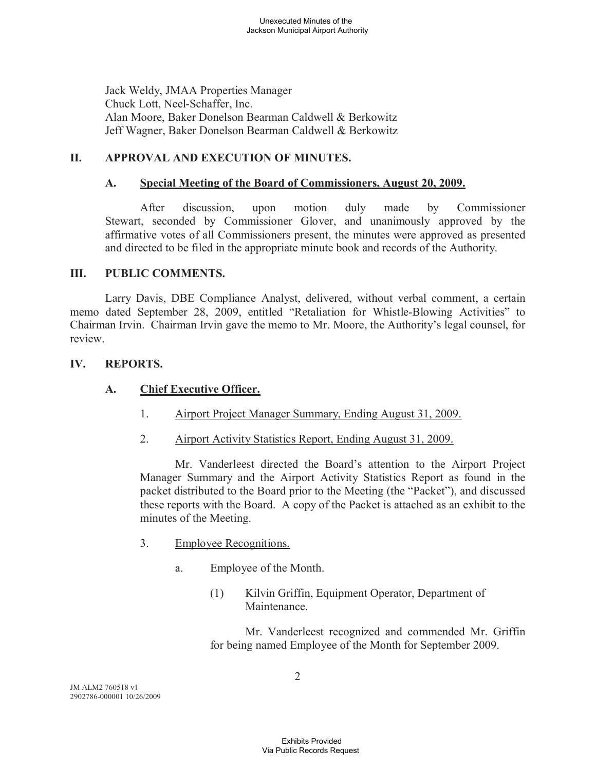Jack Weldy, JMAA Properties Manager Chuck Lott, Neel-Schaffer, Inc. Alan Moore, Baker Donelson Bearman Caldwell & Berkowitz Jeff Wagner, Baker Donelson Bearman Caldwell & Berkowitz

## **II. APPROVAL AND EXECUTION OF MINUTES.**

### **A. Special Meeting of the Board of Commissioners, August 20, 2009.**

After discussion, upon motion duly made by Commissioner Stewart, seconded by Commissioner Glover, and unanimously approved by the affirmative votes of all Commissioners present, the minutes were approved as presented and directed to be filed in the appropriate minute book and records of the Authority.

#### **III. PUBLIC COMMENTS.**

Larry Davis, DBE Compliance Analyst, delivered, without verbal comment, a certain memo dated September 28, 2009, entitled "Retaliation for Whistle-Blowing Activities" to Chairman Irvin. Chairman Irvin gave the memo to Mr. Moore, the Authority's legal counsel, for review.

#### **IV. REPORTS.**

#### **A. Chief Executive Officer.**

- 1. Airport Project Manager Summary, Ending August 31, 2009.
- 2. Airport Activity Statistics Report, Ending August 31, 2009.

Mr. Vanderleest directed the Board's attention to the Airport Project Manager Summary and the Airport Activity Statistics Report as found in the packet distributed to the Board prior to the Meeting (the "Packet"), and discussed these reports with the Board. A copy of the Packet is attached as an exhibit to the minutes of the Meeting.

- 3. Employee Recognitions.
	- a. Employee of the Month.
		- (1) Kilvin Griffin, Equipment Operator, Department of Maintenance.

Mr. Vanderleest recognized and commended Mr. Griffin for being named Employee of the Month for September 2009.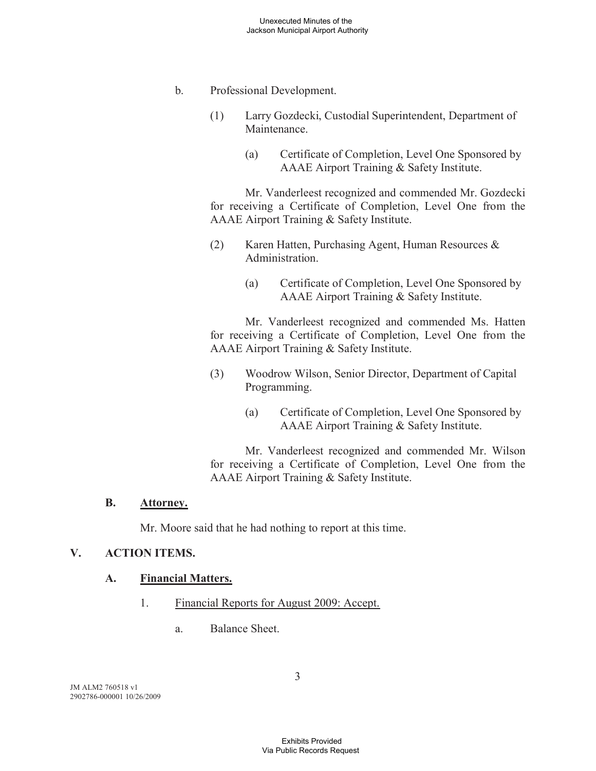- b. Professional Development.
	- (1) Larry Gozdecki, Custodial Superintendent, Department of **Maintenance** 
		- (a) Certificate of Completion, Level One Sponsored by AAAE Airport Training & Safety Institute.

Mr. Vanderleest recognized and commended Mr. Gozdecki for receiving a Certificate of Completion, Level One from the AAAE Airport Training & Safety Institute.

- (2) Karen Hatten, Purchasing Agent, Human Resources & Administration.
	- (a) Certificate of Completion, Level One Sponsored by AAAE Airport Training & Safety Institute.

Mr. Vanderleest recognized and commended Ms. Hatten for receiving a Certificate of Completion, Level One from the AAAE Airport Training & Safety Institute.

- (3) Woodrow Wilson, Senior Director, Department of Capital Programming.
	- (a) Certificate of Completion, Level One Sponsored by AAAE Airport Training & Safety Institute.

Mr. Vanderleest recognized and commended Mr. Wilson for receiving a Certificate of Completion, Level One from the AAAE Airport Training & Safety Institute.

### **B. Attorney.**

Mr. Moore said that he had nothing to report at this time.

## **V. ACTION ITEMS.**

#### **A. Financial Matters.**

- 1. Financial Reports for August 2009: Accept.
	- a. Balance Sheet.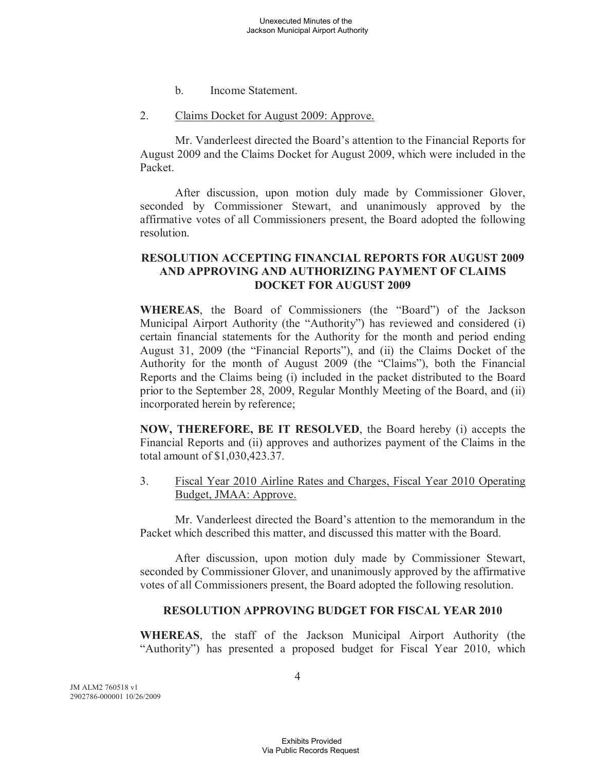- b. Income Statement.
- 2. Claims Docket for August 2009: Approve.

Mr. Vanderleest directed the Board's attention to the Financial Reports for August 2009 and the Claims Docket for August 2009, which were included in the Packet.

After discussion, upon motion duly made by Commissioner Glover, seconded by Commissioner Stewart, and unanimously approved by the affirmative votes of all Commissioners present, the Board adopted the following resolution.

## **RESOLUTION ACCEPTING FINANCIAL REPORTS FOR AUGUST 2009 AND APPROVING AND AUTHORIZING PAYMENT OF CLAIMS DOCKET FOR AUGUST 2009**

**WHEREAS**, the Board of Commissioners (the "Board") of the Jackson Municipal Airport Authority (the "Authority") has reviewed and considered (i) certain financial statements for the Authority for the month and period ending August 31, 2009 (the "Financial Reports"), and (ii) the Claims Docket of the Authority for the month of August 2009 (the "Claims"), both the Financial Reports and the Claims being (i) included in the packet distributed to the Board prior to the September 28, 2009, Regular Monthly Meeting of the Board, and (ii) incorporated herein by reference;

**NOW, THEREFORE, BE IT RESOLVED**, the Board hereby (i) accepts the Financial Reports and (ii) approves and authorizes payment of the Claims in the total amount of \$1,030,423.37.

3. Fiscal Year 2010 Airline Rates and Charges, Fiscal Year 2010 Operating Budget, JMAA: Approve.

Mr. Vanderleest directed the Board's attention to the memorandum in the Packet which described this matter, and discussed this matter with the Board.

After discussion, upon motion duly made by Commissioner Stewart, seconded by Commissioner Glover, and unanimously approved by the affirmative votes of all Commissioners present, the Board adopted the following resolution.

#### **RESOLUTION APPROVING BUDGET FOR FISCAL YEAR 2010**

**WHEREAS**, the staff of the Jackson Municipal Airport Authority (the "Authority") has presented a proposed budget for Fiscal Year 2010, which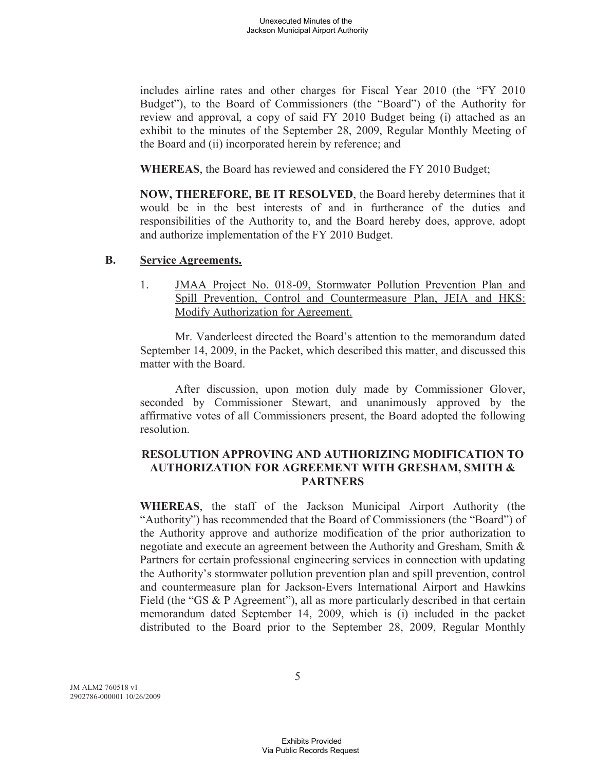includes airline rates and other charges for Fiscal Year 2010 (the "FY 2010 Budget"), to the Board of Commissioners (the "Board") of the Authority for review and approval, a copy of said FY 2010 Budget being (i) attached as an exhibit to the minutes of the September 28, 2009, Regular Monthly Meeting of the Board and (ii) incorporated herein by reference; and

**WHEREAS**, the Board has reviewed and considered the FY 2010 Budget;

**NOW, THEREFORE, BE IT RESOLVED**, the Board hereby determines that it would be in the best interests of and in furtherance of the duties and responsibilities of the Authority to, and the Board hereby does, approve, adopt and authorize implementation of the FY 2010 Budget.

#### **B. Service Agreements.**

1. JMAA Project No. 018-09, Stormwater Pollution Prevention Plan and Spill Prevention, Control and Countermeasure Plan, JEIA and HKS: Modify Authorization for Agreement.

Mr. Vanderleest directed the Board's attention to the memorandum dated September 14, 2009, in the Packet, which described this matter, and discussed this matter with the Board.

After discussion, upon motion duly made by Commissioner Glover, seconded by Commissioner Stewart, and unanimously approved by the affirmative votes of all Commissioners present, the Board adopted the following resolution.

## **RESOLUTION APPROVING AND AUTHORIZING MODIFICATION TO AUTHORIZATION FOR AGREEMENT WITH GRESHAM, SMITH & PARTNERS**

**WHEREAS**, the staff of the Jackson Municipal Airport Authority (the "Authority") has recommended that the Board of Commissioners (the "Board") of the Authority approve and authorize modification of the prior authorization to negotiate and execute an agreement between the Authority and Gresham, Smith & Partners for certain professional engineering services in connection with updating the Authority's stormwater pollution prevention plan and spill prevention, control and countermeasure plan for Jackson-Evers International Airport and Hawkins Field (the "GS & P Agreement"), all as more particularly described in that certain memorandum dated September 14, 2009, which is (i) included in the packet distributed to the Board prior to the September 28, 2009, Regular Monthly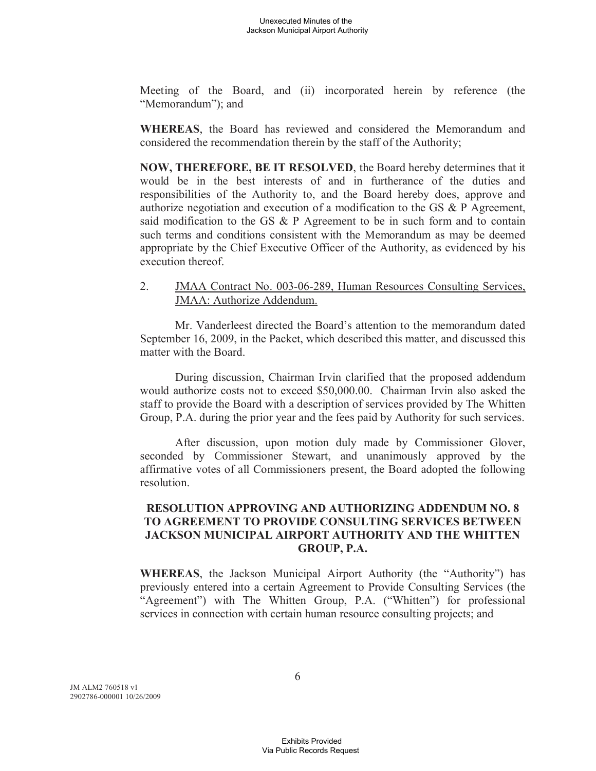Meeting of the Board, and (ii) incorporated herein by reference (the "Memorandum"); and

**WHEREAS**, the Board has reviewed and considered the Memorandum and considered the recommendation therein by the staff of the Authority;

**NOW, THEREFORE, BE IT RESOLVED**, the Board hereby determines that it would be in the best interests of and in furtherance of the duties and responsibilities of the Authority to, and the Board hereby does, approve and authorize negotiation and execution of a modification to the GS & P Agreement, said modification to the GS & P Agreement to be in such form and to contain such terms and conditions consistent with the Memorandum as may be deemed appropriate by the Chief Executive Officer of the Authority, as evidenced by his execution thereof.

2. JMAA Contract No. 003-06-289, Human Resources Consulting Services, JMAA: Authorize Addendum.

Mr. Vanderleest directed the Board's attention to the memorandum dated September 16, 2009, in the Packet, which described this matter, and discussed this matter with the Board.

During discussion, Chairman Irvin clarified that the proposed addendum would authorize costs not to exceed \$50,000.00. Chairman Irvin also asked the staff to provide the Board with a description of services provided by The Whitten Group, P.A. during the prior year and the fees paid by Authority for such services.

After discussion, upon motion duly made by Commissioner Glover, seconded by Commissioner Stewart, and unanimously approved by the affirmative votes of all Commissioners present, the Board adopted the following resolution.

## **RESOLUTION APPROVING AND AUTHORIZING ADDENDUM NO. 8 TO AGREEMENT TO PROVIDE CONSULTING SERVICES BETWEEN JACKSON MUNICIPAL AIRPORT AUTHORITY AND THE WHITTEN GROUP, P.A.**

**WHEREAS**, the Jackson Municipal Airport Authority (the "Authority") has previously entered into a certain Agreement to Provide Consulting Services (the "Agreement") with The Whitten Group, P.A. ("Whitten") for professional services in connection with certain human resource consulting projects; and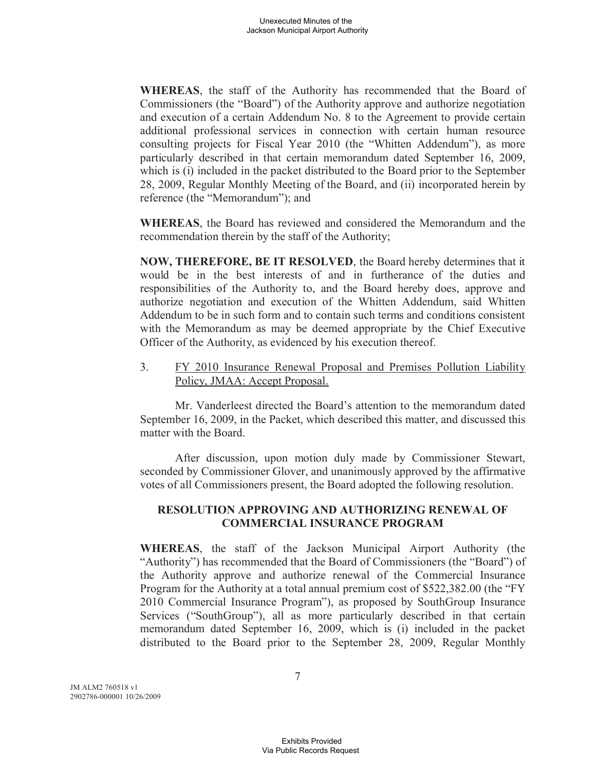**WHEREAS**, the staff of the Authority has recommended that the Board of Commissioners (the "Board") of the Authority approve and authorize negotiation and execution of a certain Addendum No. 8 to the Agreement to provide certain additional professional services in connection with certain human resource consulting projects for Fiscal Year 2010 (the "Whitten Addendum"), as more particularly described in that certain memorandum dated September 16, 2009, which is (i) included in the packet distributed to the Board prior to the September 28, 2009, Regular Monthly Meeting of the Board, and (ii) incorporated herein by reference (the "Memorandum"); and

**WHEREAS**, the Board has reviewed and considered the Memorandum and the recommendation therein by the staff of the Authority;

**NOW, THEREFORE, BE IT RESOLVED**, the Board hereby determines that it would be in the best interests of and in furtherance of the duties and responsibilities of the Authority to, and the Board hereby does, approve and authorize negotiation and execution of the Whitten Addendum, said Whitten Addendum to be in such form and to contain such terms and conditions consistent with the Memorandum as may be deemed appropriate by the Chief Executive Officer of the Authority, as evidenced by his execution thereof.

3. FY 2010 Insurance Renewal Proposal and Premises Pollution Liability Policy, JMAA: Accept Proposal.

Mr. Vanderleest directed the Board's attention to the memorandum dated September 16, 2009, in the Packet, which described this matter, and discussed this matter with the Board.

After discussion, upon motion duly made by Commissioner Stewart, seconded by Commissioner Glover, and unanimously approved by the affirmative votes of all Commissioners present, the Board adopted the following resolution.

### **RESOLUTION APPROVING AND AUTHORIZING RENEWAL OF COMMERCIAL INSURANCE PROGRAM**

**WHEREAS**, the staff of the Jackson Municipal Airport Authority (the "Authority") has recommended that the Board of Commissioners (the "Board") of the Authority approve and authorize renewal of the Commercial Insurance Program for the Authority at a total annual premium cost of \$522,382.00 (the "FY 2010 Commercial Insurance Program"), as proposed by SouthGroup Insurance Services ("SouthGroup"), all as more particularly described in that certain memorandum dated September 16, 2009, which is (i) included in the packet distributed to the Board prior to the September 28, 2009, Regular Monthly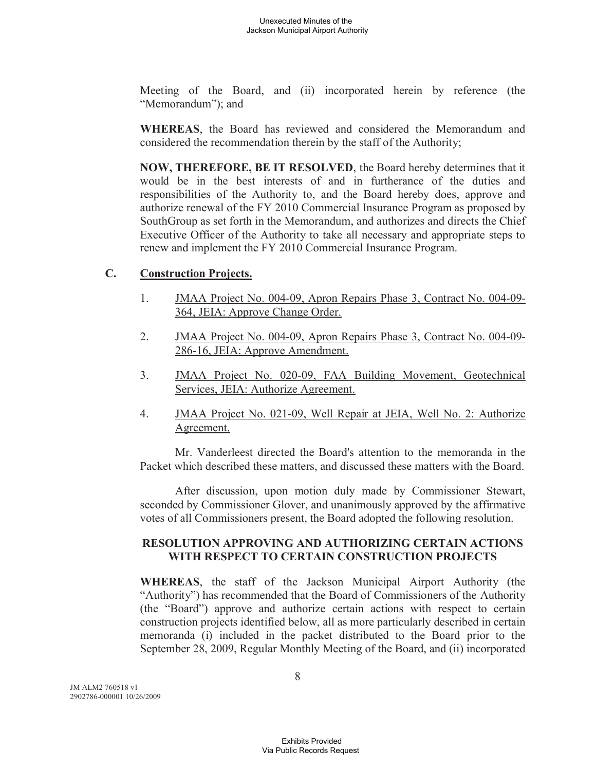Meeting of the Board, and (ii) incorporated herein by reference (the "Memorandum"); and

**WHEREAS**, the Board has reviewed and considered the Memorandum and considered the recommendation therein by the staff of the Authority;

**NOW, THEREFORE, BE IT RESOLVED**, the Board hereby determines that it would be in the best interests of and in furtherance of the duties and responsibilities of the Authority to, and the Board hereby does, approve and authorize renewal of the FY 2010 Commercial Insurance Program as proposed by SouthGroup as set forth in the Memorandum, and authorizes and directs the Chief Executive Officer of the Authority to take all necessary and appropriate steps to renew and implement the FY 2010 Commercial Insurance Program.

## **C. Construction Projects.**

- 1. JMAA Project No. 004-09, Apron Repairs Phase 3, Contract No. 004-09- 364, JEIA: Approve Change Order.
- 2. JMAA Project No. 004-09, Apron Repairs Phase 3, Contract No. 004-09- 286-16, JEIA: Approve Amendment.
- 3. JMAA Project No. 020-09, FAA Building Movement, Geotechnical Services, JEIA: Authorize Agreement.
- 4. JMAA Project No. 021-09, Well Repair at JEIA, Well No. 2: Authorize Agreement.

Mr. Vanderleest directed the Board's attention to the memoranda in the Packet which described these matters, and discussed these matters with the Board.

After discussion, upon motion duly made by Commissioner Stewart, seconded by Commissioner Glover, and unanimously approved by the affirmative votes of all Commissioners present, the Board adopted the following resolution.

## **RESOLUTION APPROVING AND AUTHORIZING CERTAIN ACTIONS WITH RESPECT TO CERTAIN CONSTRUCTION PROJECTS**

**WHEREAS**, the staff of the Jackson Municipal Airport Authority (the "Authority") has recommended that the Board of Commissioners of the Authority (the "Board") approve and authorize certain actions with respect to certain construction projects identified below, all as more particularly described in certain memoranda (i) included in the packet distributed to the Board prior to the September 28, 2009, Regular Monthly Meeting of the Board, and (ii) incorporated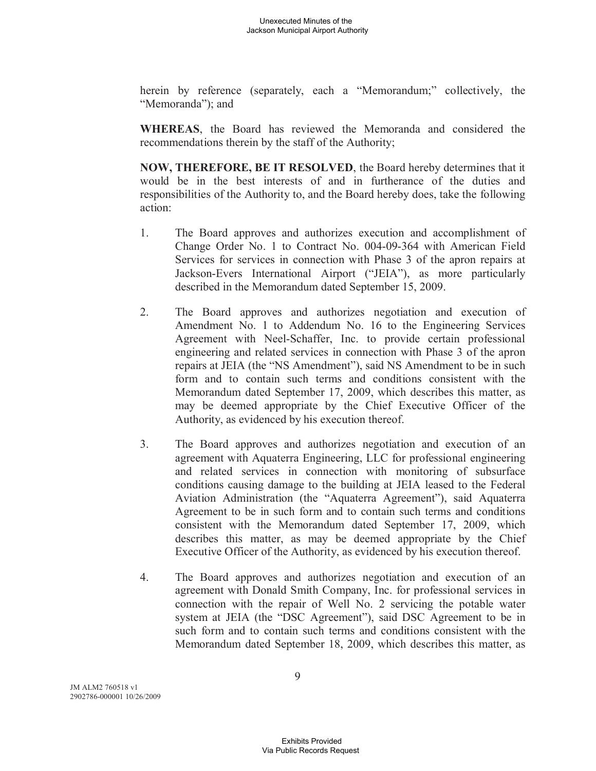herein by reference (separately, each a "Memorandum;" collectively, the "Memoranda"); and

**WHEREAS**, the Board has reviewed the Memoranda and considered the recommendations therein by the staff of the Authority;

**NOW, THEREFORE, BE IT RESOLVED**, the Board hereby determines that it would be in the best interests of and in furtherance of the duties and responsibilities of the Authority to, and the Board hereby does, take the following action:

- 1. The Board approves and authorizes execution and accomplishment of Change Order No. 1 to Contract No. 004-09-364 with American Field Services for services in connection with Phase 3 of the apron repairs at Jackson-Evers International Airport ("JEIA"), as more particularly described in the Memorandum dated September 15, 2009.
- 2. The Board approves and authorizes negotiation and execution of Amendment No. 1 to Addendum No. 16 to the Engineering Services Agreement with Neel-Schaffer, Inc. to provide certain professional engineering and related services in connection with Phase 3 of the apron repairs at JEIA (the "NS Amendment"), said NS Amendment to be in such form and to contain such terms and conditions consistent with the Memorandum dated September 17, 2009, which describes this matter, as may be deemed appropriate by the Chief Executive Officer of the Authority, as evidenced by his execution thereof.
- 3. The Board approves and authorizes negotiation and execution of an agreement with Aquaterra Engineering, LLC for professional engineering and related services in connection with monitoring of subsurface conditions causing damage to the building at JEIA leased to the Federal Aviation Administration (the "Aquaterra Agreement"), said Aquaterra Agreement to be in such form and to contain such terms and conditions consistent with the Memorandum dated September 17, 2009, which describes this matter, as may be deemed appropriate by the Chief Executive Officer of the Authority, as evidenced by his execution thereof.
- 4. The Board approves and authorizes negotiation and execution of an agreement with Donald Smith Company, Inc. for professional services in connection with the repair of Well No. 2 servicing the potable water system at JEIA (the "DSC Agreement"), said DSC Agreement to be in such form and to contain such terms and conditions consistent with the Memorandum dated September 18, 2009, which describes this matter, as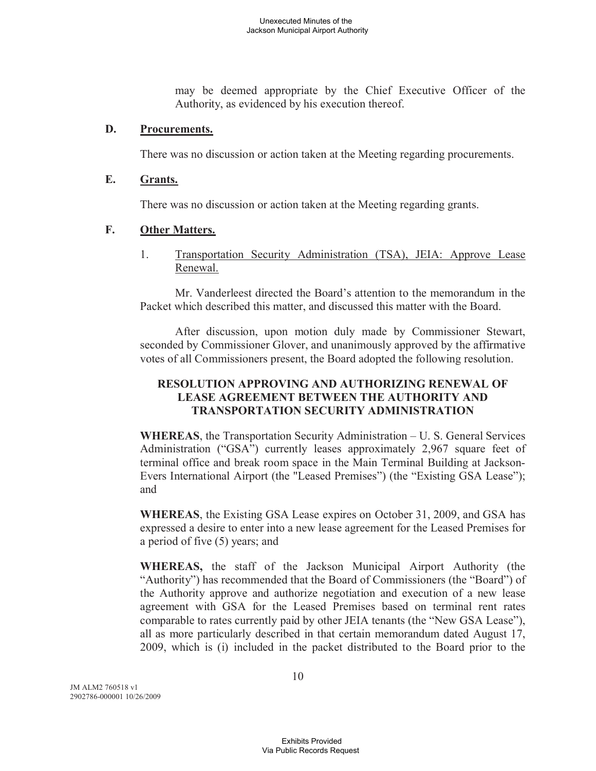may be deemed appropriate by the Chief Executive Officer of the Authority, as evidenced by his execution thereof.

#### **D. Procurements.**

There was no discussion or action taken at the Meeting regarding procurements.

## **E. Grants.**

There was no discussion or action taken at the Meeting regarding grants.

#### **F. Other Matters.**

1. Transportation Security Administration (TSA), JEIA: Approve Lease Renewal.

Mr. Vanderleest directed the Board's attention to the memorandum in the Packet which described this matter, and discussed this matter with the Board.

After discussion, upon motion duly made by Commissioner Stewart, seconded by Commissioner Glover, and unanimously approved by the affirmative votes of all Commissioners present, the Board adopted the following resolution.

## **RESOLUTION APPROVING AND AUTHORIZING RENEWAL OF LEASE AGREEMENT BETWEEN THE AUTHORITY AND TRANSPORTATION SECURITY ADMINISTRATION**

**WHEREAS**, the Transportation Security Administration – U. S. General Services Administration ("GSA") currently leases approximately 2,967 square feet of terminal office and break room space in the Main Terminal Building at Jackson-Evers International Airport (the "Leased Premises") (the "Existing GSA Lease"); and

**WHEREAS**, the Existing GSA Lease expires on October 31, 2009, and GSA has expressed a desire to enter into a new lease agreement for the Leased Premises for a period of five (5) years; and

**WHEREAS,** the staff of the Jackson Municipal Airport Authority (the "Authority") has recommended that the Board of Commissioners (the "Board") of the Authority approve and authorize negotiation and execution of a new lease agreement with GSA for the Leased Premises based on terminal rent rates comparable to rates currently paid by other JEIA tenants (the "New GSA Lease"), all as more particularly described in that certain memorandum dated August 17, 2009, which is (i) included in the packet distributed to the Board prior to the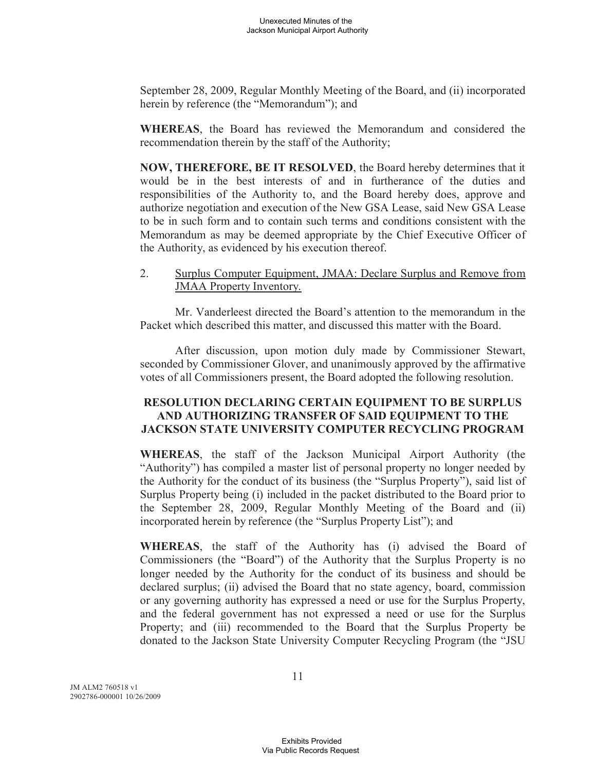September 28, 2009, Regular Monthly Meeting of the Board, and (ii) incorporated herein by reference (the "Memorandum"); and

**WHEREAS**, the Board has reviewed the Memorandum and considered the recommendation therein by the staff of the Authority;

**NOW, THEREFORE, BE IT RESOLVED**, the Board hereby determines that it would be in the best interests of and in furtherance of the duties and responsibilities of the Authority to, and the Board hereby does, approve and authorize negotiation and execution of the New GSA Lease, said New GSA Lease to be in such form and to contain such terms and conditions consistent with the Memorandum as may be deemed appropriate by the Chief Executive Officer of the Authority, as evidenced by his execution thereof.

2. Surplus Computer Equipment, JMAA: Declare Surplus and Remove from JMAA Property Inventory.

Mr. Vanderleest directed the Board's attention to the memorandum in the Packet which described this matter, and discussed this matter with the Board.

After discussion, upon motion duly made by Commissioner Stewart, seconded by Commissioner Glover, and unanimously approved by the affirmative votes of all Commissioners present, the Board adopted the following resolution.

## **RESOLUTION DECLARING CERTAIN EQUIPMENT TO BE SURPLUS AND AUTHORIZING TRANSFER OF SAID EQUIPMENT TO THE JACKSON STATE UNIVERSITY COMPUTER RECYCLING PROGRAM**

**WHEREAS**, the staff of the Jackson Municipal Airport Authority (the "Authority") has compiled a master list of personal property no longer needed by the Authority for the conduct of its business (the "Surplus Property"), said list of Surplus Property being (i) included in the packet distributed to the Board prior to the September 28, 2009, Regular Monthly Meeting of the Board and (ii) incorporated herein by reference (the "Surplus Property List"); and

**WHEREAS**, the staff of the Authority has (i) advised the Board of Commissioners (the "Board") of the Authority that the Surplus Property is no longer needed by the Authority for the conduct of its business and should be declared surplus; (ii) advised the Board that no state agency, board, commission or any governing authority has expressed a need or use for the Surplus Property, and the federal government has not expressed a need or use for the Surplus Property; and (iii) recommended to the Board that the Surplus Property be donated to the Jackson State University Computer Recycling Program (the "JSU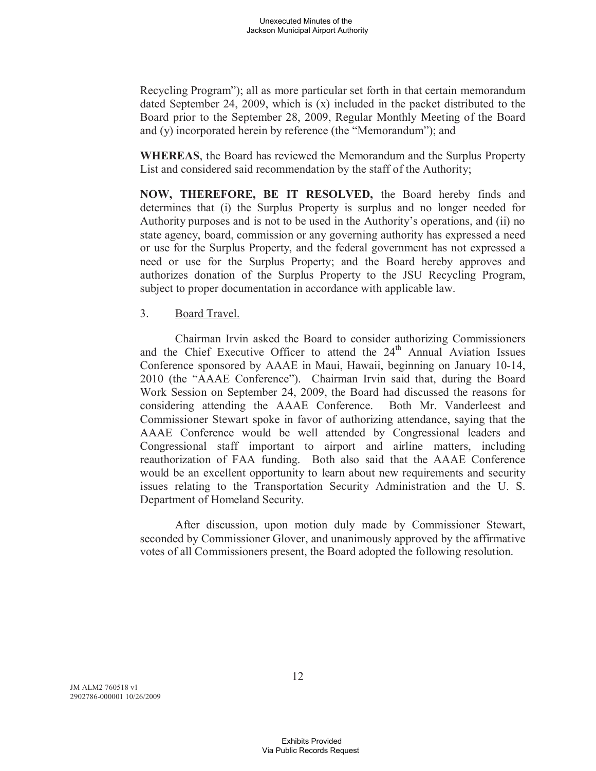Recycling Program"); all as more particular set forth in that certain memorandum dated September 24, 2009, which is (x) included in the packet distributed to the Board prior to the September 28, 2009, Regular Monthly Meeting of the Board and (y) incorporated herein by reference (the "Memorandum"); and

**WHEREAS**, the Board has reviewed the Memorandum and the Surplus Property List and considered said recommendation by the staff of the Authority;

**NOW, THEREFORE, BE IT RESOLVED,** the Board hereby finds and determines that (i) the Surplus Property is surplus and no longer needed for Authority purposes and is not to be used in the Authority's operations, and (ii) no state agency, board, commission or any governing authority has expressed a need or use for the Surplus Property, and the federal government has not expressed a need or use for the Surplus Property; and the Board hereby approves and authorizes donation of the Surplus Property to the JSU Recycling Program, subject to proper documentation in accordance with applicable law.

#### 3. Board Travel.

Chairman Irvin asked the Board to consider authorizing Commissioners and the Chief Executive Officer to attend the  $24<sup>th</sup>$  Annual Aviation Issues Conference sponsored by AAAE in Maui, Hawaii, beginning on January 10-14, 2010 (the "AAAE Conference"). Chairman Irvin said that, during the Board Work Session on September 24, 2009, the Board had discussed the reasons for considering attending the AAAE Conference. Both Mr. Vanderleest and Commissioner Stewart spoke in favor of authorizing attendance, saying that the AAAE Conference would be well attended by Congressional leaders and Congressional staff important to airport and airline matters, including reauthorization of FAA funding. Both also said that the AAAE Conference would be an excellent opportunity to learn about new requirements and security issues relating to the Transportation Security Administration and the U. S. Department of Homeland Security.

After discussion, upon motion duly made by Commissioner Stewart, seconded by Commissioner Glover, and unanimously approved by the affirmative votes of all Commissioners present, the Board adopted the following resolution.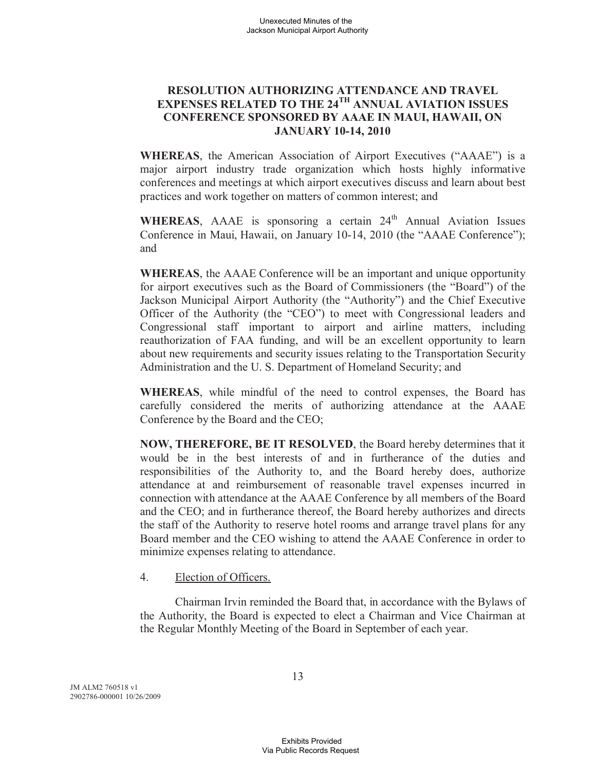## **RESOLUTION AUTHORIZING ATTENDANCE AND TRAVEL EXPENSES RELATED TO THE 24TH ANNUAL AVIATION ISSUES CONFERENCE SPONSORED BY AAAE IN MAUI, HAWAII, ON JANUARY 10-14, 2010**

**WHEREAS**, the American Association of Airport Executives ("AAAE") is a major airport industry trade organization which hosts highly informative conferences and meetings at which airport executives discuss and learn about best practices and work together on matters of common interest; and

WHEREAS, AAAE is sponsoring a certain 24<sup>th</sup> Annual Aviation Issues Conference in Maui, Hawaii, on January 10-14, 2010 (the "AAAE Conference"); and

**WHEREAS**, the AAAE Conference will be an important and unique opportunity for airport executives such as the Board of Commissioners (the "Board") of the Jackson Municipal Airport Authority (the "Authority") and the Chief Executive Officer of the Authority (the "CEO") to meet with Congressional leaders and Congressional staff important to airport and airline matters, including reauthorization of FAA funding, and will be an excellent opportunity to learn about new requirements and security issues relating to the Transportation Security Administration and the U. S. Department of Homeland Security; and

**WHEREAS**, while mindful of the need to control expenses, the Board has carefully considered the merits of authorizing attendance at the AAAE Conference by the Board and the CEO;

**NOW, THEREFORE, BE IT RESOLVED**, the Board hereby determines that it would be in the best interests of and in furtherance of the duties and responsibilities of the Authority to, and the Board hereby does, authorize attendance at and reimbursement of reasonable travel expenses incurred in connection with attendance at the AAAE Conference by all members of the Board and the CEO; and in furtherance thereof, the Board hereby authorizes and directs the staff of the Authority to reserve hotel rooms and arrange travel plans for any Board member and the CEO wishing to attend the AAAE Conference in order to minimize expenses relating to attendance.

#### 4. Election of Officers.

Chairman Irvin reminded the Board that, in accordance with the Bylaws of the Authority, the Board is expected to elect a Chairman and Vice Chairman at the Regular Monthly Meeting of the Board in September of each year.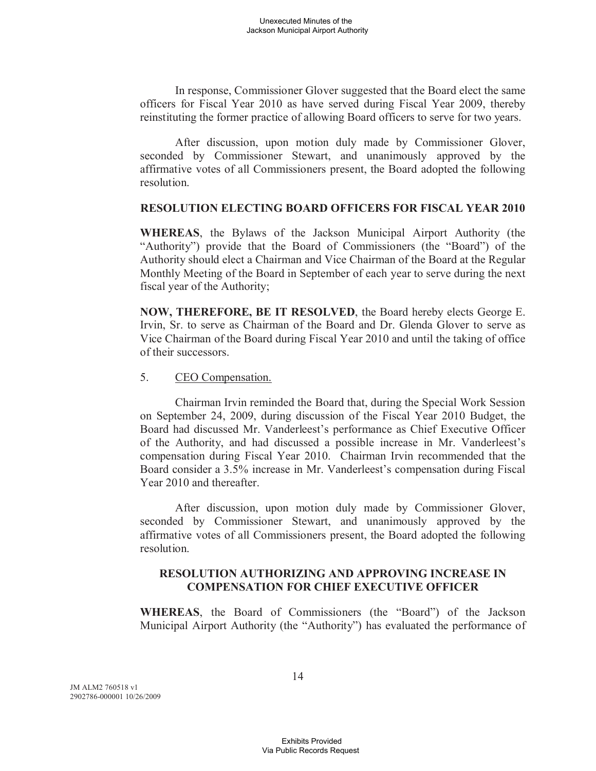In response, Commissioner Glover suggested that the Board elect the same officers for Fiscal Year 2010 as have served during Fiscal Year 2009, thereby reinstituting the former practice of allowing Board officers to serve for two years.

After discussion, upon motion duly made by Commissioner Glover, seconded by Commissioner Stewart, and unanimously approved by the affirmative votes of all Commissioners present, the Board adopted the following resolution.

#### **RESOLUTION ELECTING BOARD OFFICERS FOR FISCAL YEAR 2010**

**WHEREAS**, the Bylaws of the Jackson Municipal Airport Authority (the "Authority") provide that the Board of Commissioners (the "Board") of the Authority should elect a Chairman and Vice Chairman of the Board at the Regular Monthly Meeting of the Board in September of each year to serve during the next fiscal year of the Authority;

**NOW, THEREFORE, BE IT RESOLVED**, the Board hereby elects George E. Irvin, Sr. to serve as Chairman of the Board and Dr. Glenda Glover to serve as Vice Chairman of the Board during Fiscal Year 2010 and until the taking of office of their successors.

#### 5. CEO Compensation.

Chairman Irvin reminded the Board that, during the Special Work Session on September 24, 2009, during discussion of the Fiscal Year 2010 Budget, the Board had discussed Mr. Vanderleest's performance as Chief Executive Officer of the Authority, and had discussed a possible increase in Mr. Vanderleest's compensation during Fiscal Year 2010. Chairman Irvin recommended that the Board consider a 3.5% increase in Mr. Vanderleest's compensation during Fiscal Year 2010 and thereafter.

After discussion, upon motion duly made by Commissioner Glover, seconded by Commissioner Stewart, and unanimously approved by the affirmative votes of all Commissioners present, the Board adopted the following resolution.

## **RESOLUTION AUTHORIZING AND APPROVING INCREASE IN COMPENSATION FOR CHIEF EXECUTIVE OFFICER**

**WHEREAS**, the Board of Commissioners (the "Board") of the Jackson Municipal Airport Authority (the "Authority") has evaluated the performance of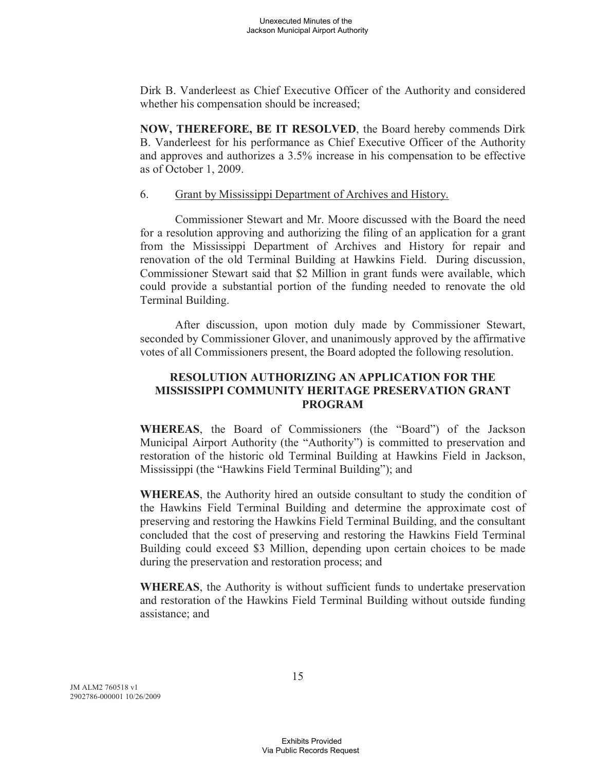Dirk B. Vanderleest as Chief Executive Officer of the Authority and considered whether his compensation should be increased;

**NOW, THEREFORE, BE IT RESOLVED**, the Board hereby commends Dirk B. Vanderleest for his performance as Chief Executive Officer of the Authority and approves and authorizes a 3.5% increase in his compensation to be effective as of October 1, 2009.

#### 6. Grant by Mississippi Department of Archives and History.

Commissioner Stewart and Mr. Moore discussed with the Board the need for a resolution approving and authorizing the filing of an application for a grant from the Mississippi Department of Archives and History for repair and renovation of the old Terminal Building at Hawkins Field. During discussion, Commissioner Stewart said that \$2 Million in grant funds were available, which could provide a substantial portion of the funding needed to renovate the old Terminal Building.

After discussion, upon motion duly made by Commissioner Stewart, seconded by Commissioner Glover, and unanimously approved by the affirmative votes of all Commissioners present, the Board adopted the following resolution.

## **RESOLUTION AUTHORIZING AN APPLICATION FOR THE MISSISSIPPI COMMUNITY HERITAGE PRESERVATION GRANT PROGRAM**

**WHEREAS**, the Board of Commissioners (the "Board") of the Jackson Municipal Airport Authority (the "Authority") is committed to preservation and restoration of the historic old Terminal Building at Hawkins Field in Jackson, Mississippi (the "Hawkins Field Terminal Building"); and

**WHEREAS**, the Authority hired an outside consultant to study the condition of the Hawkins Field Terminal Building and determine the approximate cost of preserving and restoring the Hawkins Field Terminal Building, and the consultant concluded that the cost of preserving and restoring the Hawkins Field Terminal Building could exceed \$3 Million, depending upon certain choices to be made during the preservation and restoration process; and

**WHEREAS**, the Authority is without sufficient funds to undertake preservation and restoration of the Hawkins Field Terminal Building without outside funding assistance; and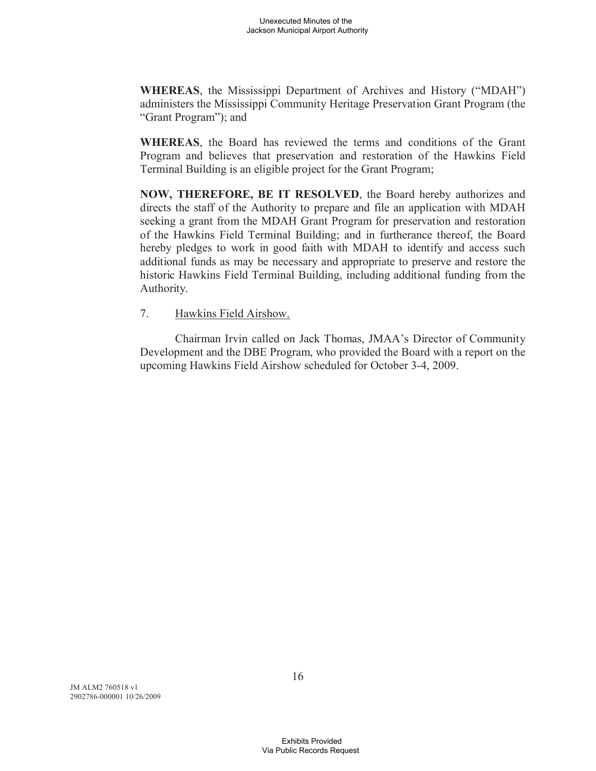**WHEREAS**, the Mississippi Department of Archives and History ("MDAH") administers the Mississippi Community Heritage Preservation Grant Program (the "Grant Program"); and

**WHEREAS**, the Board has reviewed the terms and conditions of the Grant Program and believes that preservation and restoration of the Hawkins Field Terminal Building is an eligible project for the Grant Program;

**NOW, THEREFORE, BE IT RESOLVED**, the Board hereby authorizes and directs the staff of the Authority to prepare and file an application with MDAH seeking a grant from the MDAH Grant Program for preservation and restoration of the Hawkins Field Terminal Building; and in furtherance thereof, the Board hereby pledges to work in good faith with MDAH to identify and access such additional funds as may be necessary and appropriate to preserve and restore the historic Hawkins Field Terminal Building, including additional funding from the Authority.

#### 7. Hawkins Field Airshow.

Chairman Irvin called on Jack Thomas, JMAA's Director of Community Development and the DBE Program, who provided the Board with a report on the upcoming Hawkins Field Airshow scheduled for October 3-4, 2009.